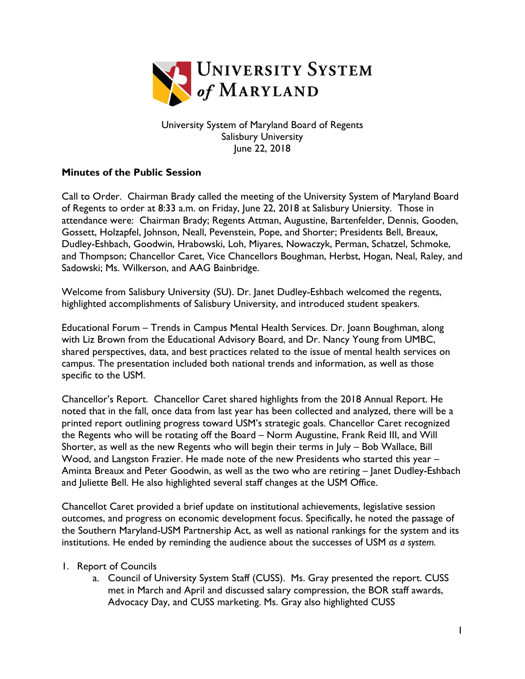

University System of Maryland Board of Regents Salisbury University June 22, 2018

## **Minutes of the Public Session**

Call to Order. Chairman Brady called the meeting of the University System of Maryland Board of Regents to order at 8:33 a.m. on Friday, June 22, 2018 at Salisbury Uniersity. Those in attendance were: Chairman Brady; Regents Attman, Augustine, Bartenfelder, Dennis, Gooden, Gossett, Holzapfel, Johnson, Neall, Pevenstein, Pope, and Shorter; Presidents Bell, Breaux, Dudley-Eshbach, Goodwin, Hrabowski, Loh, Miyares, Nowaczyk, Perman, Schatzel, Schmoke, and Thompson; Chancellor Caret, Vice Chancellors Boughman, Herbst, Hogan, Neal, Raley, and Sadowski; Ms. Wilkerson, and AAG Bainbridge.

Welcome from Salisbury University (SU). Dr. Janet Dudley-Eshbach welcomed the regents, highlighted accomplishments of Salisbury University, and introduced student speakers.

Educational Forum – Trends in Campus Mental Health Services. Dr. Joann Boughman, along with Liz Brown from the Educational Advisory Board, and Dr. Nancy Young from UMBC, shared perspectives, data, and best practices related to the issue of mental health services on campus. The presentation included both national trends and information, as well as those specific to the USM.

Chancellor's Report. Chancellor Caret shared highlights from the 2018 Annual Report. He noted that in the fall, once data from last year has been collected and analyzed, there will be a printed report outlining progress toward USM's strategic goals. Chancellor Caret recognized the Regents who will be rotating off the Board – Norm Augustine, Frank Reid III, and Will Shorter, as well as the new Regents who will begin their terms in July – Bob Wallace, Bill Wood, and Langston Frazier. He made note of the new Presidents who started this year – Aminta Breaux and Peter Goodwin, as well as the two who are retiring – Janet Dudley-Eshbach and Juliette Bell. He also highlighted several staff changes at the USM Office.

Chancellot Caret provided a brief update on institutional achievements, legislative session outcomes, and progress on economic development focus. Specifically, he noted the passage of the Southern Maryland-USM Partnership Act, as well as national rankings for the system and its institutions. He ended by reminding the audience about the successes of USM *as a system.*

## 1. Report of Councils

a. Council of University System Staff (CUSS). Ms. Gray presented the report. CUSS met in March and April and discussed salary compression, the BOR staff awards, Advocacy Day, and CUSS marketing. Ms. Gray also highlighted CUSS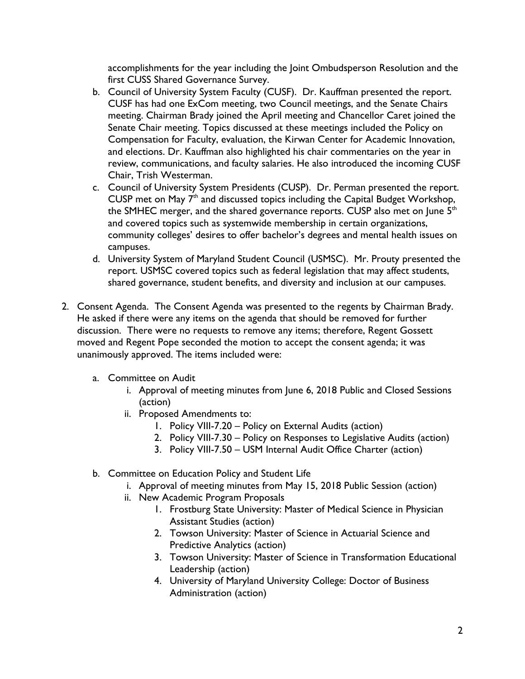accomplishments for the year including the Joint Ombudsperson Resolution and the first CUSS Shared Governance Survey.

- b. Council of University System Faculty (CUSF). Dr. Kauffman presented the report. CUSF has had one ExCom meeting, two Council meetings, and the Senate Chairs meeting. Chairman Brady joined the April meeting and Chancellor Caret joined the Senate Chair meeting. Topics discussed at these meetings included the Policy on Compensation for Faculty, evaluation, the Kirwan Center for Academic Innovation, and elections. Dr. Kauffman also highlighted his chair commentaries on the year in review, communications, and faculty salaries. He also introduced the incoming CUSF Chair, Trish Westerman.
- c. Council of University System Presidents (CUSP). Dr. Perman presented the report. CUSP met on May  $7<sup>th</sup>$  and discussed topics including the Capital Budget Workshop, the SMHEC merger, and the shared governance reports. CUSP also met on June 5<sup>th</sup> and covered topics such as systemwide membership in certain organizations, community colleges' desires to offer bachelor's degrees and mental health issues on campuses.
- d. University System of Maryland Student Council (USMSC). Mr. Prouty presented the report. USMSC covered topics such as federal legislation that may affect students, shared governance, student benefits, and diversity and inclusion at our campuses.
- 2. Consent Agenda. The Consent Agenda was presented to the regents by Chairman Brady. He asked if there were any items on the agenda that should be removed for further discussion. There were no requests to remove any items; therefore, Regent Gossett moved and Regent Pope seconded the motion to accept the consent agenda; it was unanimously approved. The items included were:
	- a. Committee on Audit
		- i. Approval of meeting minutes from June 6, 2018 Public and Closed Sessions (action)
		- ii. Proposed Amendments to:
			- 1. Policy VIII-7.20 Policy on External Audits (action)
			- 2. Policy VIII-7.30 Policy on Responses to Legislative Audits (action)
			- 3. Policy VIII-7.50 USM Internal Audit Office Charter (action)
	- b. Committee on Education Policy and Student Life
		- i. Approval of meeting minutes from May 15, 2018 Public Session (action)
		- ii. New Academic Program Proposals
			- 1. Frostburg State University: Master of Medical Science in Physician Assistant Studies (action)
			- 2. Towson University: Master of Science in Actuarial Science and Predictive Analytics (action)
			- 3. Towson University: Master of Science in Transformation Educational Leadership (action)
			- 4. University of Maryland University College: Doctor of Business Administration (action)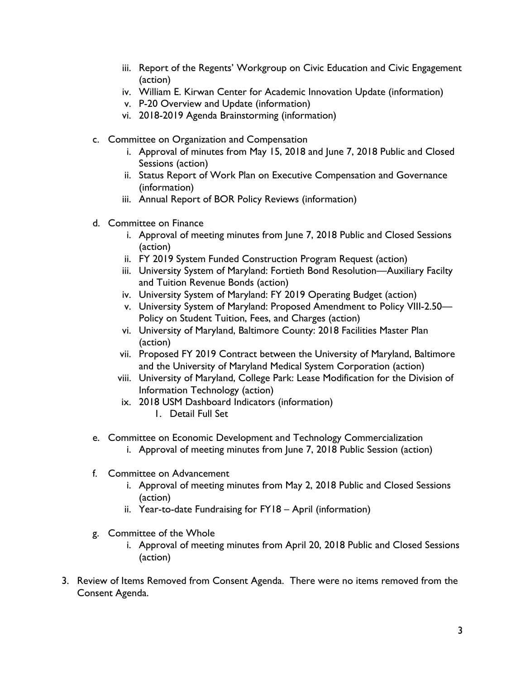- iii. Report of the Regents' Workgroup on Civic Education and Civic Engagement (action)
- iv. William E. Kirwan Center for Academic Innovation Update (information)
- v. P-20 Overview and Update (information)
- vi. 2018-2019 Agenda Brainstorming (information)
- c. Committee on Organization and Compensation
	- i. Approval of minutes from May 15, 2018 and June 7, 2018 Public and Closed Sessions (action)
	- ii. Status Report of Work Plan on Executive Compensation and Governance (information)
	- iii. Annual Report of BOR Policy Reviews (information)
- d. Committee on Finance
	- i. Approval of meeting minutes from June 7, 2018 Public and Closed Sessions (action)
	- ii. FY 2019 System Funded Construction Program Request (action)
	- iii. University System of Maryland: Fortieth Bond Resolution—Auxiliary Facilty and Tuition Revenue Bonds (action)
	- iv. University System of Maryland: FY 2019 Operating Budget (action)
	- v. University System of Maryland: Proposed Amendment to Policy VIII-2.50— Policy on Student Tuition, Fees, and Charges (action)
	- vi. University of Maryland, Baltimore County: 2018 Facilities Master Plan (action)
	- vii. Proposed FY 2019 Contract between the University of Maryland, Baltimore and the University of Maryland Medical System Corporation (action)
	- viii. University of Maryland, College Park: Lease Modification for the Division of Information Technology (action)
	- ix. 2018 USM Dashboard Indicators (information)
		- 1. Detail Full Set
- e. Committee on Economic Development and Technology Commercialization
	- i. Approval of meeting minutes from June 7, 2018 Public Session (action)
- f. Committee on Advancement
	- i. Approval of meeting minutes from May 2, 2018 Public and Closed Sessions (action)
	- ii. Year-to-date Fundraising for FY18 April (information)
- g. Committee of the Whole
	- i. Approval of meeting minutes from April 20, 2018 Public and Closed Sessions (action)
- 3. Review of Items Removed from Consent Agenda. There were no items removed from the Consent Agenda.